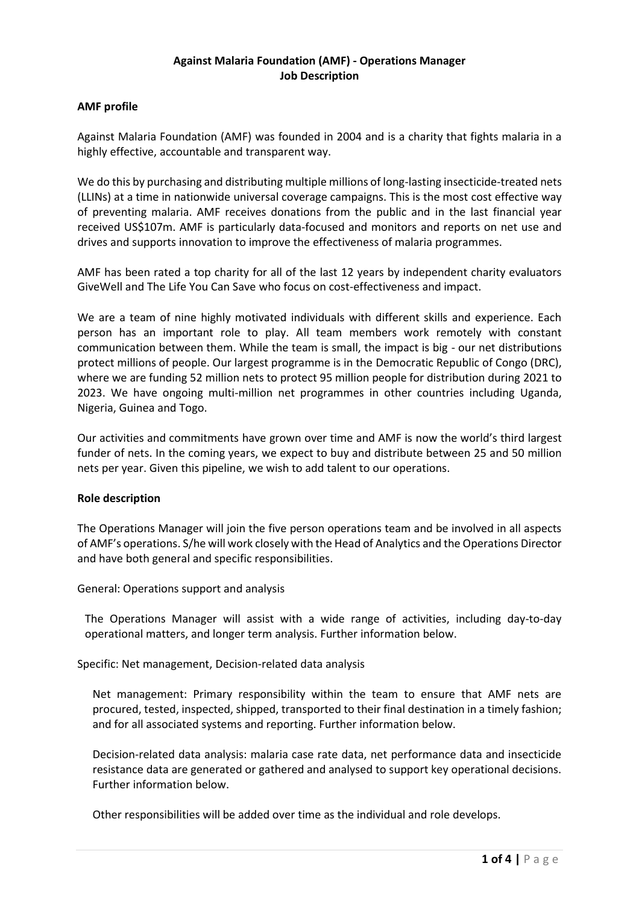# **Against Malaria Foundation (AMF) - Operations Manager Job Description**

# **AMF profile**

Against Malaria Foundation (AMF) was founded in 2004 and is a charity that fights malaria in a highly effective, accountable and transparent way.

We do this by purchasing and distributing multiple millions of long-lasting insecticide-treated nets (LLINs) at a time in nationwide universal coverage campaigns. This is the most cost effective way of preventing malaria. AMF receives donations from the public and in the last financial year received US\$107m. AMF is particularly data-focused and monitors and reports on net use and drives and supports innovation to improve the effectiveness of malaria programmes.

AMF has been rated a top charity for all of the last 12 years by independent charity evaluators GiveWell and The Life You Can Save who focus on cost-effectiveness and impact.

We are a team of nine highly motivated individuals with different skills and experience. Each person has an important role to play. All team members work remotely with constant communication between them. While the team is small, the impact is big - our net distributions protect millions of people. Our largest programme is in the Democratic Republic of Congo (DRC), where we are funding 52 million nets to protect 95 million people for distribution during 2021 to 2023. We have ongoing multi-million net programmes in other countries including Uganda, Nigeria, Guinea and Togo.

Our activities and commitments have grown over time and AMF is now the world's third largest funder of nets. In the coming years, we expect to buy and distribute between 25 and 50 million nets per year. Given this pipeline, we wish to add talent to our operations.

#### **Role description**

The Operations Manager will join the five person operations team and be involved in all aspects of AMF's operations. S/he will work closely with the Head of Analytics and the Operations Director and have both general and specific responsibilities.

General: Operations support and analysis

The Operations Manager will assist with a wide range of activities, including day-to-day operational matters, and longer term analysis. Further information below.

Specific: Net management, Decision-related data analysis

Net management: Primary responsibility within the team to ensure that AMF nets are procured, tested, inspected, shipped, transported to their final destination in a timely fashion; and for all associated systems and reporting. Further information below.

Decision-related data analysis: malaria case rate data, net performance data and insecticide resistance data are generated or gathered and analysed to support key operational decisions. Further information below.

Other responsibilities will be added over time as the individual and role develops.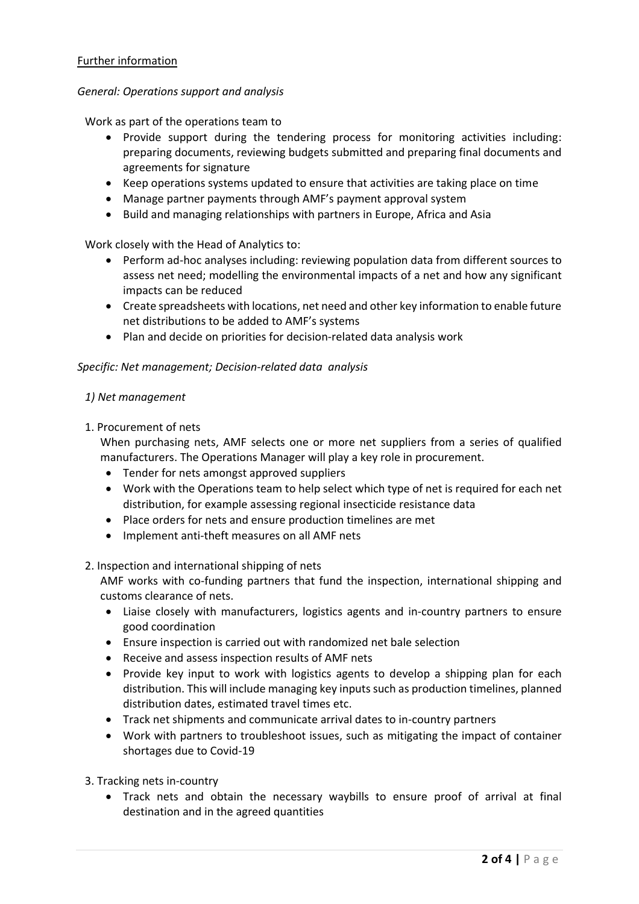# Further information

#### *General: Operations support and analysis*

Work as part of the operations team to

- Provide support during the tendering process for monitoring activities including: preparing documents, reviewing budgets submitted and preparing final documents and agreements for signature
- Keep operations systems updated to ensure that activities are taking place on time
- Manage partner payments through AMF's payment approval system
- Build and managing relationships with partners in Europe, Africa and Asia

Work closely with the Head of Analytics to:

- Perform ad-hoc analyses including: reviewing population data from different sources to assess net need; modelling the environmental impacts of a net and how any significant impacts can be reduced
- Create spreadsheets with locations, net need and other key information to enable future net distributions to be added to AMF's systems
- Plan and decide on priorities for decision-related data analysis work

#### *Specific: Net management; Decision-related data analysis*

#### *1) Net management*

1. Procurement of nets

When purchasing nets, AMF selects one or more net suppliers from a series of qualified manufacturers. The Operations Manager will play a key role in procurement.

- Tender for nets amongst approved suppliers
- Work with the Operations team to help select which type of net is required for each net distribution, for example assessing regional insecticide resistance data
- Place orders for nets and ensure production timelines are met
- Implement anti-theft measures on all AMF nets
- 2. Inspection and international shipping of nets

AMF works with co-funding partners that fund the inspection, international shipping and customs clearance of nets.

- Liaise closely with manufacturers, logistics agents and in-country partners to ensure good coordination
- Ensure inspection is carried out with randomized net bale selection
- Receive and assess inspection results of AMF nets
- Provide key input to work with logistics agents to develop a shipping plan for each distribution. This will include managing key inputs such as production timelines, planned distribution dates, estimated travel times etc.
- Track net shipments and communicate arrival dates to in-country partners
- Work with partners to troubleshoot issues, such as mitigating the impact of container shortages due to Covid-19
- 3. Tracking nets in-country
	- Track nets and obtain the necessary waybills to ensure proof of arrival at final destination and in the agreed quantities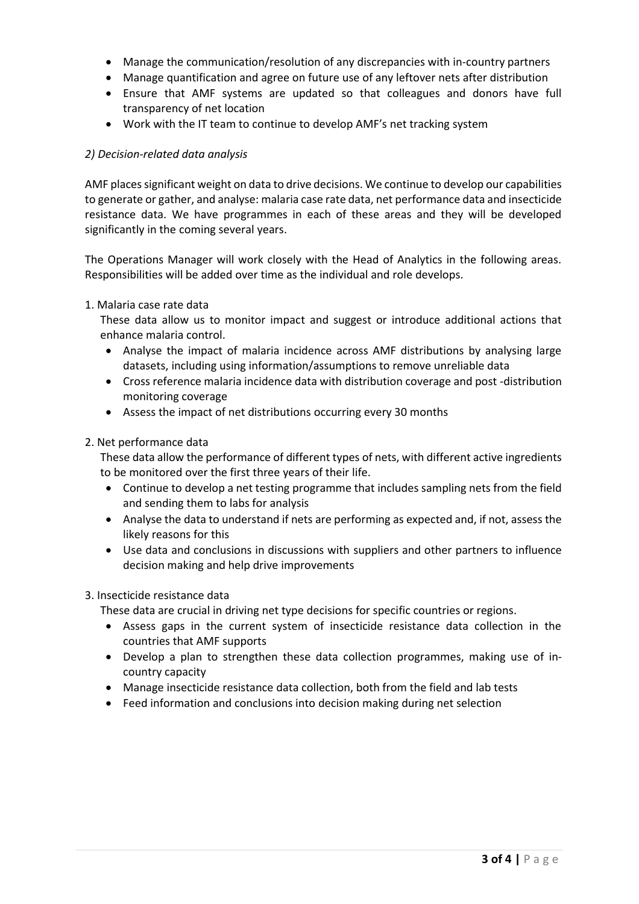- Manage the communication/resolution of any discrepancies with in-country partners
- Manage quantification and agree on future use of any leftover nets after distribution
- Ensure that AMF systems are updated so that colleagues and donors have full transparency of net location
- Work with the IT team to continue to develop AMF's net tracking system

# *2) Decision-related data analysis*

AMF places significant weight on data to drive decisions. We continue to develop our capabilities to generate or gather, and analyse: malaria case rate data, net performance data and insecticide resistance data. We have programmes in each of these areas and they will be developed significantly in the coming several years.

The Operations Manager will work closely with the Head of Analytics in the following areas. Responsibilities will be added over time as the individual and role develops.

# 1. Malaria case rate data

These data allow us to monitor impact and suggest or introduce additional actions that enhance malaria control.

- Analyse the impact of malaria incidence across AMF distributions by analysing large datasets, including using information/assumptions to remove unreliable data
- Cross reference malaria incidence data with distribution coverage and post -distribution monitoring coverage
- Assess the impact of net distributions occurring every 30 months

# 2. Net performance data

These data allow the performance of different types of nets, with different active ingredients to be monitored over the first three years of their life.

- Continue to develop a net testing programme that includes sampling nets from the field and sending them to labs for analysis
- Analyse the data to understand if nets are performing as expected and, if not, assess the likely reasons for this
- Use data and conclusions in discussions with suppliers and other partners to influence decision making and help drive improvements

# 3. Insecticide resistance data

These data are crucial in driving net type decisions for specific countries or regions.

- Assess gaps in the current system of insecticide resistance data collection in the countries that AMF supports
- Develop a plan to strengthen these data collection programmes, making use of incountry capacity
- Manage insecticide resistance data collection, both from the field and lab tests
- Feed information and conclusions into decision making during net selection